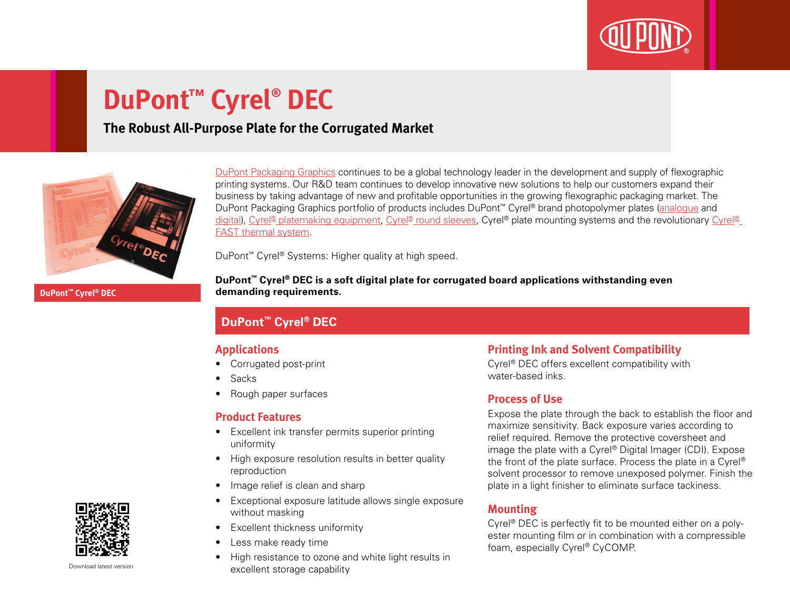

# **DuPont™ Cyrel® DEC**

## **The Robust All-Purpose Plate for the Corrugated Market**



[DuPont Packaging Graphics](http://www2.dupont.com/Packaging_Graphics/en_GB/index.html) continues to be a global technology leader in the development and supply of flexographic printing systems. Our R&D team continues to develop innovative new solutions to help our customers expand their business by taking advantage of new and profitable opportunities in the growing flexographic packaging market. The DuPont Packaging Graphics portfolio of products includes DuPont™ Cyrel® brand photopolymer plates [\(analogue](http://www2.dupont.com/Packaging_Graphics/en_GB/products/solvent_platemaking/index.html) and [digital\)](http://www2.dupont.com/Packaging_Graphics/en_GB/products/digital_wkflow/digital_workflow.html), [Cyrel® platemaking equipment,](http://www2.dupont.com/Packaging_Graphics/en_GB/products/mounting_systems/index.html) [Cyrel® round sleeves](http://www2.dupont.com/Packaging_Graphics/en_GB/products/cyrel_round/index_cyrelround2.html), [Cyrel®](http://www2.dupont.com/Packaging_Graphics/en_GB/products/cyrel_fast/cyrelfast_index.html) plate mounting systems and the revolutionary Cyrel® [FAST thermal system](http://www2.dupont.com/Packaging_Graphics/en_GB/products/cyrel_fast/cyrelfast_index.html).

DuPont™ Cyrel® Systems: Higher quality at high speed.

**DuPont™ Cyrel® DEC**

**DuPont™ Cyrel® DEC is a soft digital plate for corrugated board applications withstanding even demanding requirements.**

#### **DuPont™ Cyrel® DEC**

#### **Applications**

- Corrugated post-print
- Sacks
- Rough paper surfaces

#### **Product Features**

- Excellent ink transfer permits superior printing uniformity
- High exposure resolution results in better quality reproduction
- Image relief is clean and sharp
- Exceptional exposure latitude allows single exposure without masking
- Excellent thickness uniformity
- Less make ready time
- High resistance to ozone and white light results in excellent storage capability

#### **Printing Ink and Solvent Compatibility**

Cyrel® DEC offers excellent compatibility with water-based inks.

#### **Process of Use**

Expose the plate through the back to establish the floor and maximize sensitivity. Back exposure varies according to relief required. Remove the protective coversheet and image the plate with a Cyrel® Digital Imager (CDI). Expose the front of the plate surface. Process the plate in a Cyrel® solvent processor to remove unexposed polymer. Finish the plate in a light finisher to eliminate surface tackiness.

#### **Mounting**

Cyrel® DEC is perfectly fit to be mounted either on a polyester mounting film or in combination with a compressible foam, especially Cyrel® CyCOMP.



Download latest version